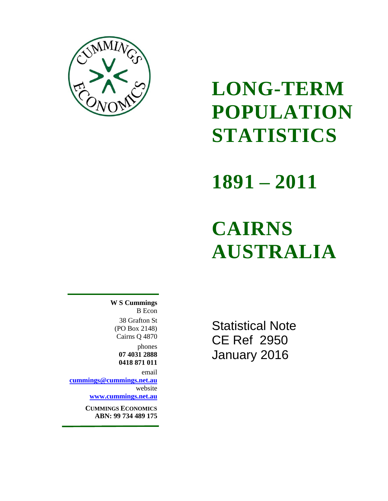

## **LONG-TERM POPULATION STATISTICS**

## **1891 – 2011**

# **CAIRNS AUSTRALIA**

**W S Cummings** B Econ 38 Grafton St (PO Box 2148) Cairns Q 4870

> phones **07 4031 2888 0418 871 011**

email **[cummings@cummings.net.au](mailto:cummings@cummings.net.au)** website

**[www.cummings.net.au](http://www.cummings.net.au/)**

**CUMMINGS ECONOMICS ABN: 99 734 489 175**

Statistical Note CE Ref 2950 January 2016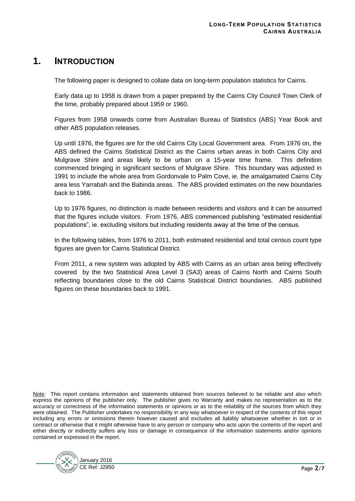#### **1. INTRODUCTION**

The following paper is designed to collate data on long-term population statistics for Cairns.

Early data up to 1958 is drawn from a paper prepared by the Cairns City Council Town Clerk of the time, probably prepared about 1959 or 1960.

Figures from 1958 onwards come from Australian Bureau of Statistics (ABS) Year Book and other ABS population releases.

Up until 1976, the figures are for the old Cairns City Local Government area. From 1976 on, the ABS defined the Cairns Statistical District as the Cairns urban areas in both Cairns City and Mulgrave Shire and areas likely to be urban on a 15-year time frame. This definition commenced bringing in significant sections of Mulgrave Shire. This boundary was adjusted in 1991 to include the whole area from Gordonvale to Palm Cove, ie. the amalgamated Cairns City area less Yarrabah and the Babinda areas. The ABS provided estimates on the new boundaries back to 1986.

Up to 1976 figures, no distinction is made between residents and visitors and it can be assumed that the figures include visitors. From 1976, ABS commenced publishing "estimated residential populations", ie. excluding visitors but including residents away at the time of the census.

In the following tables, from 1976 to 2011, both estimated residential and total census count type figures are given for Cairns Statistical District.

From 2011, a new system was adopted by ABS with Cairns as an urban area being effectively covered by the two Statistical Area Level 3 (SA3) areas of Cairns North and Cairns South reflecting boundaries close to the old Cairns Statistical District boundaries. ABS published figures on these boundaries back to 1991.

Note: This report contains information and statements obtained from sources believed to be reliable and also which express the opinions of the publisher only. The publisher gives no Warranty and makes no representation as to the accuracy or correctness of the information statements or opinions or as to the reliability of the sources from which they were obtained. The Publisher undertakes no responsibility in any way whatsoever in respect of the contents of this report including any errors or omissions therein however caused and excludes all liability whatsoever whether in tort or in contract or otherwise that it might otherwise have to any person or company who acts upon the contents of the report and either directly or indirectly suffers any loss or damage in consequence of the information statements and/or opinions contained or expressed in the report.

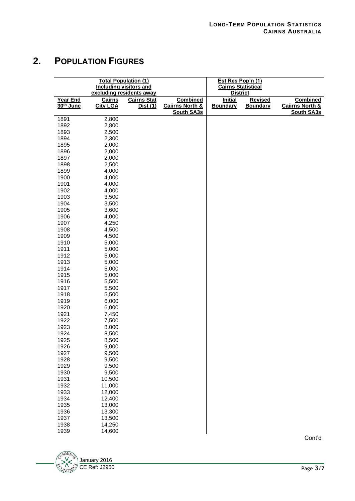### **2. POPULATION FIGURES**

| <b>Total Population (1)</b><br><b>Including visitors and</b><br>excluding residents away |                 |                    | Est Res Pop'n (1)<br><b>Cairns Statistical</b><br><b>District</b> |                 |                 |                            |
|------------------------------------------------------------------------------------------|-----------------|--------------------|-------------------------------------------------------------------|-----------------|-----------------|----------------------------|
| Year End                                                                                 | <b>Cairns</b>   | <b>Cairns Stat</b> | <b>Combined</b>                                                   | <b>Initial</b>  | <b>Revised</b>  | <b>Combined</b>            |
| 30 <sup>th</sup> June                                                                    | <b>City LGA</b> | Dist (1)           | <b>Caiirns North &amp;</b><br><b>South SA3s</b>                   | <b>Boundary</b> | <b>Boundary</b> | <b>Caiirns North &amp;</b> |
| 1891                                                                                     | 2,800           |                    |                                                                   |                 |                 | <b>South SA3s</b>          |
| 1892                                                                                     | 2,800           |                    |                                                                   |                 |                 |                            |
| 1893                                                                                     | 2,500           |                    |                                                                   |                 |                 |                            |
| 1894                                                                                     | 2,300           |                    |                                                                   |                 |                 |                            |
| 1895                                                                                     | 2,000           |                    |                                                                   |                 |                 |                            |
| 1896                                                                                     | 2,000           |                    |                                                                   |                 |                 |                            |
| 1897                                                                                     | 2,000           |                    |                                                                   |                 |                 |                            |
| 1898                                                                                     | 2,500           |                    |                                                                   |                 |                 |                            |
| 1899                                                                                     | 4,000           |                    |                                                                   |                 |                 |                            |
| 1900                                                                                     | 4,000           |                    |                                                                   |                 |                 |                            |
| 1901                                                                                     | 4,000           |                    |                                                                   |                 |                 |                            |
| 1902                                                                                     | 4,000           |                    |                                                                   |                 |                 |                            |
| 1903                                                                                     | 3,500           |                    |                                                                   |                 |                 |                            |
| 1904                                                                                     | 3,500           |                    |                                                                   |                 |                 |                            |
| 1905                                                                                     | 3,600           |                    |                                                                   |                 |                 |                            |
| 1906                                                                                     | 4,000           |                    |                                                                   |                 |                 |                            |
| 1907                                                                                     | 4,250           |                    |                                                                   |                 |                 |                            |
| 1908                                                                                     | 4,500           |                    |                                                                   |                 |                 |                            |
| 1909                                                                                     | 4,500           |                    |                                                                   |                 |                 |                            |
| 1910                                                                                     | 5,000           |                    |                                                                   |                 |                 |                            |
| 1911                                                                                     | 5,000           |                    |                                                                   |                 |                 |                            |
| 1912                                                                                     | 5,000           |                    |                                                                   |                 |                 |                            |
| 1913                                                                                     | 5,000           |                    |                                                                   |                 |                 |                            |
| 1914                                                                                     | 5,000           |                    |                                                                   |                 |                 |                            |
| 1915                                                                                     | 5,000           |                    |                                                                   |                 |                 |                            |
| 1916                                                                                     | 5,500           |                    |                                                                   |                 |                 |                            |
| 1917                                                                                     | 5,500           |                    |                                                                   |                 |                 |                            |
| 1918                                                                                     | 5,500           |                    |                                                                   |                 |                 |                            |
| 1919                                                                                     | 6,000           |                    |                                                                   |                 |                 |                            |
| 1920                                                                                     | 6,000           |                    |                                                                   |                 |                 |                            |
| 1921                                                                                     | 7,450           |                    |                                                                   |                 |                 |                            |
| 1922                                                                                     | 7,500           |                    |                                                                   |                 |                 |                            |
| 1923                                                                                     | 8,000           |                    |                                                                   |                 |                 |                            |
| 1924                                                                                     | 8,500           |                    |                                                                   |                 |                 |                            |
| 1925                                                                                     | 8,500           |                    |                                                                   |                 |                 |                            |
| 1926                                                                                     | 9,000           |                    |                                                                   |                 |                 |                            |
| 1927                                                                                     | 9,500           |                    |                                                                   |                 |                 |                            |
| 1928                                                                                     | 9,500           |                    |                                                                   |                 |                 |                            |
| 1929                                                                                     | 9,500           |                    |                                                                   |                 |                 |                            |
| 1930                                                                                     | 9,500           |                    |                                                                   |                 |                 |                            |
| 1931                                                                                     | 10,500          |                    |                                                                   |                 |                 |                            |
| 1932                                                                                     | 11,000          |                    |                                                                   |                 |                 |                            |
| 1933                                                                                     | 12,000          |                    |                                                                   |                 |                 |                            |
| 1934                                                                                     | 12,400          |                    |                                                                   |                 |                 |                            |
| 1935                                                                                     | 13,000          |                    |                                                                   |                 |                 |                            |
| 1936                                                                                     | 13,300          |                    |                                                                   |                 |                 |                            |
| 1937                                                                                     | 13,500          |                    |                                                                   |                 |                 |                            |
| 1938                                                                                     | 14,250          |                    |                                                                   |                 |                 |                            |
| 1939                                                                                     | 14,600          |                    |                                                                   |                 |                 |                            |



Cont'd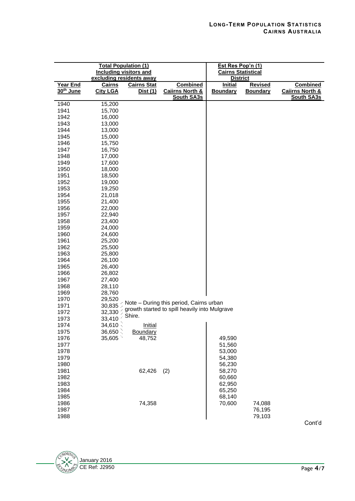| <b>Total Population (1)</b><br><b>Including visitors and</b><br>excluding residents away |                                  |                                       | Est Res Pop'n (1)<br><b>Cairns Statistical</b><br><b>District</b>  |                                   |                                   |                                                                    |
|------------------------------------------------------------------------------------------|----------------------------------|---------------------------------------|--------------------------------------------------------------------|-----------------------------------|-----------------------------------|--------------------------------------------------------------------|
| Year End<br>30 <sup>th</sup> June                                                        | <u>Cairns</u><br><b>City LGA</b> | <b>Cairns Stat</b><br><u>Dist (1)</u> | <b>Combined</b><br><b>Caiirns North &amp;</b><br><b>South SA3s</b> | <b>Initial</b><br><b>Boundary</b> | <b>Revised</b><br><b>Boundary</b> | <b>Combined</b><br><b>Caiirns North &amp;</b><br><b>South SA3s</b> |
| 1940                                                                                     | 15,200                           |                                       |                                                                    |                                   |                                   |                                                                    |
| 1941                                                                                     | 15,700                           |                                       |                                                                    |                                   |                                   |                                                                    |
| 1942                                                                                     | 16,000                           |                                       |                                                                    |                                   |                                   |                                                                    |
| 1943                                                                                     | 13,000                           |                                       |                                                                    |                                   |                                   |                                                                    |
| 1944                                                                                     | 13,000                           |                                       |                                                                    |                                   |                                   |                                                                    |
| 1945                                                                                     | 15,000                           |                                       |                                                                    |                                   |                                   |                                                                    |
| 1946                                                                                     | 15,750                           |                                       |                                                                    |                                   |                                   |                                                                    |
| 1947                                                                                     | 16,750                           |                                       |                                                                    |                                   |                                   |                                                                    |
| 1948                                                                                     | 17,000                           |                                       |                                                                    |                                   |                                   |                                                                    |
| 1949                                                                                     | 17,600                           |                                       |                                                                    |                                   |                                   |                                                                    |
| 1950                                                                                     | 18,000                           |                                       |                                                                    |                                   |                                   |                                                                    |
| 1951                                                                                     | 18,500                           |                                       |                                                                    |                                   |                                   |                                                                    |
| 1952                                                                                     | 19,000                           |                                       |                                                                    |                                   |                                   |                                                                    |
| 1953                                                                                     | 19,250                           |                                       |                                                                    |                                   |                                   |                                                                    |
| 1954                                                                                     | 21,018                           |                                       |                                                                    |                                   |                                   |                                                                    |
| 1955                                                                                     | 21,400                           |                                       |                                                                    |                                   |                                   |                                                                    |
| 1956                                                                                     | 22,000                           |                                       |                                                                    |                                   |                                   |                                                                    |
| 1957                                                                                     | 22,940                           |                                       |                                                                    |                                   |                                   |                                                                    |
| 1958                                                                                     | 23,400                           |                                       |                                                                    |                                   |                                   |                                                                    |
| 1959                                                                                     | 24,000                           |                                       |                                                                    |                                   |                                   |                                                                    |
| 1960                                                                                     | 24,600                           |                                       |                                                                    |                                   |                                   |                                                                    |
| 1961                                                                                     | 25,200                           |                                       |                                                                    |                                   |                                   |                                                                    |
| 1962                                                                                     | 25,500                           |                                       |                                                                    |                                   |                                   |                                                                    |
| 1963                                                                                     | 25,800                           |                                       |                                                                    |                                   |                                   |                                                                    |
| 1964                                                                                     | 26,100                           |                                       |                                                                    |                                   |                                   |                                                                    |
| 1965                                                                                     | 26,400                           |                                       |                                                                    |                                   |                                   |                                                                    |
| 1966                                                                                     | 26,802                           |                                       |                                                                    |                                   |                                   |                                                                    |
| 1967                                                                                     | 27,400                           |                                       |                                                                    |                                   |                                   |                                                                    |
| 1968                                                                                     | 28,110                           |                                       |                                                                    |                                   |                                   |                                                                    |
| 1969                                                                                     | 28,760                           |                                       |                                                                    |                                   |                                   |                                                                    |
| 1970                                                                                     | 29,520                           |                                       |                                                                    |                                   |                                   |                                                                    |
| 1971                                                                                     | 30,835                           |                                       | Note - During this period, Cairns urban                            |                                   |                                   |                                                                    |
| 1972                                                                                     | 32,330                           |                                       | growth started to spill heavily into Mulgrave                      |                                   |                                   |                                                                    |
| 1973                                                                                     | 33,410                           | Shire.                                |                                                                    |                                   |                                   |                                                                    |
| 1974                                                                                     | 34,610                           | <b>Initial</b>                        |                                                                    |                                   |                                   |                                                                    |
| 1975                                                                                     | $36,650 \leq$                    | Boundary                              |                                                                    |                                   |                                   |                                                                    |
| 1976                                                                                     | 35,605                           | 48,752                                |                                                                    | 49,590                            |                                   |                                                                    |
| 1977                                                                                     |                                  |                                       |                                                                    | 51,560                            |                                   |                                                                    |
| 1978                                                                                     |                                  |                                       |                                                                    | 53,000                            |                                   |                                                                    |
| 1979                                                                                     |                                  |                                       |                                                                    | 54,380                            |                                   |                                                                    |
| 1980                                                                                     |                                  |                                       |                                                                    | 56,230                            |                                   |                                                                    |
| 1981                                                                                     |                                  | 62,426                                | (2)                                                                | 58,270                            |                                   |                                                                    |
| 1982                                                                                     |                                  |                                       |                                                                    | 60,660                            |                                   |                                                                    |
| 1983                                                                                     |                                  |                                       |                                                                    | 62,950                            |                                   |                                                                    |
| 1984                                                                                     |                                  |                                       |                                                                    | 65,250                            |                                   |                                                                    |
| 1985                                                                                     |                                  |                                       |                                                                    | 68,140                            |                                   |                                                                    |
| 1986                                                                                     |                                  | 74,358                                |                                                                    | 70,600                            | 74,088                            |                                                                    |
| 1987                                                                                     |                                  |                                       |                                                                    |                                   | 76,195                            |                                                                    |
| 1988                                                                                     |                                  |                                       |                                                                    |                                   | 79,103                            |                                                                    |

Cont'd

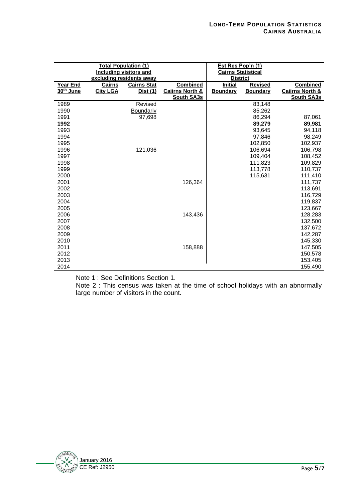|                                   | <b>Total Population (1)</b><br><b>Including visitors and</b><br>excluding residents away |                    |                                                 | Est Res Pop'n (1)<br>Cairns Statistical<br><b>District</b> |                 |                                                 |
|-----------------------------------|------------------------------------------------------------------------------------------|--------------------|-------------------------------------------------|------------------------------------------------------------|-----------------|-------------------------------------------------|
| Year End<br>30 <sup>th</sup> June | <b>Cairns</b>                                                                            | <b>Cairns Stat</b> | <b>Combined</b>                                 | <b>Initial</b>                                             | <b>Revised</b>  | <b>Combined</b>                                 |
|                                   | <b>City LGA</b>                                                                          | Dist (1)           | <b>Caiirns North &amp;</b><br><b>South SA3s</b> | <b>Boundary</b>                                            | <b>Boundary</b> | <b>Caiirns North &amp;</b><br><b>South SA3s</b> |
| 1989                              |                                                                                          | <b>Revised</b>     |                                                 |                                                            | 83,148          |                                                 |
| 1990                              |                                                                                          | Boundariy          |                                                 |                                                            | 85,262          |                                                 |
| 1991                              |                                                                                          | 97,698             |                                                 |                                                            | 86,294          | 87,061                                          |
| 1992                              |                                                                                          |                    |                                                 |                                                            | 89,279          | 89,981                                          |
| 1993                              |                                                                                          |                    |                                                 |                                                            | 93,645          | 94,118                                          |
| 1994                              |                                                                                          |                    |                                                 |                                                            | 97,846          | 98,249                                          |
| 1995                              |                                                                                          |                    |                                                 |                                                            | 102,850         | 102,937                                         |
| 1996                              |                                                                                          | 121,036            |                                                 |                                                            | 106,694         | 106,798                                         |
| 1997                              |                                                                                          |                    |                                                 |                                                            | 109,404         | 108,452                                         |
| 1998                              |                                                                                          |                    |                                                 |                                                            | 111,823         | 109,829                                         |
| 1999                              |                                                                                          |                    |                                                 |                                                            | 113,778         | 110,737                                         |
| 2000                              |                                                                                          |                    |                                                 |                                                            | 115,631         | 111,410                                         |
| 2001                              |                                                                                          |                    | 126,364                                         |                                                            |                 | 111,737                                         |
| 2002                              |                                                                                          |                    |                                                 |                                                            |                 | 113,691                                         |
| 2003                              |                                                                                          |                    |                                                 |                                                            |                 | 116,729                                         |
| 2004                              |                                                                                          |                    |                                                 |                                                            |                 | 119,837                                         |
| 2005                              |                                                                                          |                    |                                                 |                                                            |                 | 123,667                                         |
| 2006                              |                                                                                          |                    | 143,436                                         |                                                            |                 | 128,283                                         |
| 2007                              |                                                                                          |                    |                                                 |                                                            |                 | 132,500                                         |
| 2008                              |                                                                                          |                    |                                                 |                                                            |                 | 137,672                                         |
| 2009                              |                                                                                          |                    |                                                 |                                                            |                 | 142,287                                         |
| 2010                              |                                                                                          |                    |                                                 |                                                            |                 | 145,330                                         |
| 2011                              |                                                                                          |                    | 158,888                                         |                                                            |                 | 147,505                                         |
| 2012                              |                                                                                          |                    |                                                 |                                                            |                 | 150,578                                         |
| 2013                              |                                                                                          |                    |                                                 |                                                            |                 | 153,405                                         |
| 2014                              |                                                                                          |                    |                                                 |                                                            |                 | 155,490                                         |

Note 1 : See Definitions Section 1.

Note 2 : This census was taken at the time of school holidays with an abnormally large number of visitors in the count.

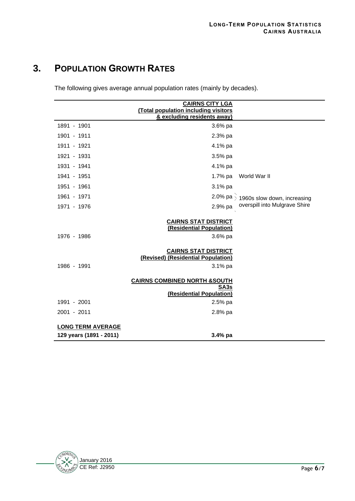### **3. POPULATION GROWTH RATES**

The following gives average annual population rates (mainly by decades).

|                                                     | <b>CAIRNS CITY LGA</b><br>(Total population including visitors<br>& excluding residents away) |                                                   |
|-----------------------------------------------------|-----------------------------------------------------------------------------------------------|---------------------------------------------------|
| 1891 - 1901                                         | 3.6% pa                                                                                       |                                                   |
| 1901 - 1911                                         | 2.3% pa                                                                                       |                                                   |
| 1911 - 1921                                         | 4.1% pa                                                                                       |                                                   |
| 1921 - 1931                                         | 3.5% pa                                                                                       |                                                   |
| 1931 - 1941                                         | 4.1% pa                                                                                       |                                                   |
| 1941 - 1951                                         | 1.7% pa                                                                                       | World War II                                      |
| 1951 - 1961                                         | 3.1% pa                                                                                       |                                                   |
| 1961 - 1971                                         |                                                                                               | 2.0% pa $\frac{1}{2}$ 1960s slow down, increasing |
| 1971 - 1976                                         | 2.9% pa                                                                                       | overspill into Mulgrave Shire                     |
| 1976 - 1986                                         | <b>CAIRNS STAT DISTRICT</b><br>(Residential Population)<br>3.6% pa                            |                                                   |
| 1986 - 1991                                         | <b>CAIRNS STAT DISTRICT</b><br>(Revised) (Residential Population)<br>3.1% pa                  |                                                   |
|                                                     | <b>CAIRNS COMBINED NORTH &amp;SOUTH</b><br>SA <sub>3s</sub><br>(Residential Population)       |                                                   |
| 1991 - 2001                                         | $2.5%$ pa                                                                                     |                                                   |
| 2001 - 2011                                         | 2.8% pa                                                                                       |                                                   |
| <b>LONG TERM AVERAGE</b><br>129 years (1891 - 2011) | 3.4% pa                                                                                       |                                                   |